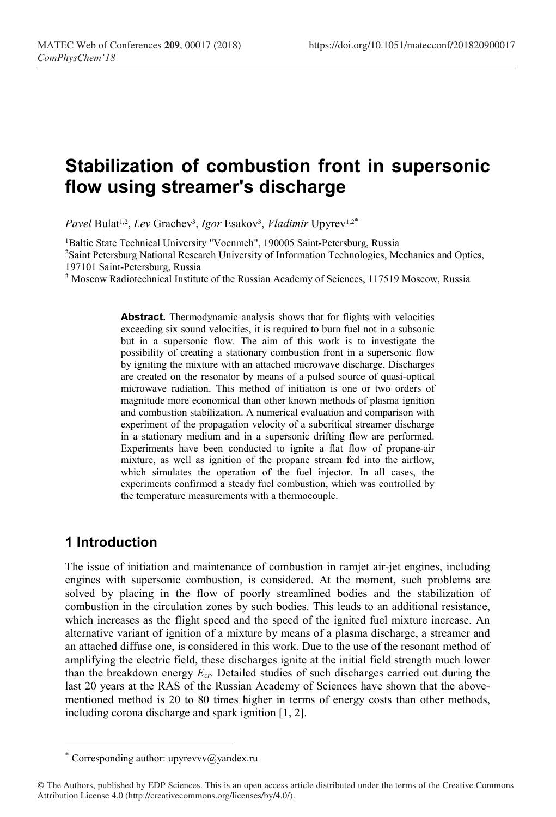# Stabilization of combustion front in supersonic flow using streamer's discharge

Pavel Bulat<sup>1,2</sup>, Lev Grachev<sup>3</sup>, Igor Esakov<sup>3</sup>, Vladimir Upyrev<sup>1,2\*</sup>

<sup>1</sup>Baltic State Technical University "Voenmeh", 190005 Saint-Petersburg, Russia <sup>2</sup>Saint Petersburg National Research University of Information Technologies, Mechanics and Optics, 197101 Saint-Petersburg, Russia

<sup>3</sup> Moscow Radiotechnical Institute of the Russian Academy of Sciences, 117519 Moscow, Russia

Abstract. Thermodynamic analysis shows that for flights with velocities exceeding six sound velocities, it is required to burn fuel not in a subsonic but in a supersonic flow. The aim of this work is to investigate the possibility of creating a stationary combustion front in a supersonic flow by igniting the mixture with an attached microwave discharge. Discharges are created on the resonator by means of a pulsed source of quasi-optical microwave radiation. This method of initiation is one or two orders of magnitude more economical than other known methods of plasma ignition and combustion stabilization. A numerical evaluation and comparison with experiment of the propagation velocity of a subcritical streamer discharge in a stationary medium and in a supersonic drifting flow are performed. Experiments have been conducted to ignite a flat flow of propane-air mixture, as well as ignition of the propane stream fed into the airflow, which simulates the operation of the fuel injector. In all cases, the experiments confirmed a steady fuel combustion, which was controlled by the temperature measurements with a thermocouple.

### 1 Introduction

-

The issue of initiation and maintenance of combustion in ramjet air-jet engines, including engines with supersonic combustion, is considered. At the moment, such problems are solved by placing in the flow of poorly streamlined bodies and the stabilization of combustion in the circulation zones by such bodies. This leads to an additional resistance, which increases as the flight speed and the speed of the ignited fuel mixture increase. An alternative variant of ignition of a mixture by means of a plasma discharge, a streamer and an attached diffuse one, is considered in this work. Due to the use of the resonant method of amplifying the electric field, these discharges ignite at the initial field strength much lower than the breakdown energy  $E_{cr}$ . Detailed studies of such discharges carried out during the last 20 years at the RAS of the Russian Academy of Sciences have shown that the abovementioned method is 20 to 80 times higher in terms of energy costs than other methods, including corona discharge and spark ignition [1, 2].

<sup>\*</sup> Corresponding author: upyrevvv $\omega$ yandex.ru

<sup>©</sup> The Authors, published by EDP Sciences. This is an open access article distributed under the terms of the Creative Commons Attribution License 4.0 (http://creativecommons.org/licenses/by/4.0/).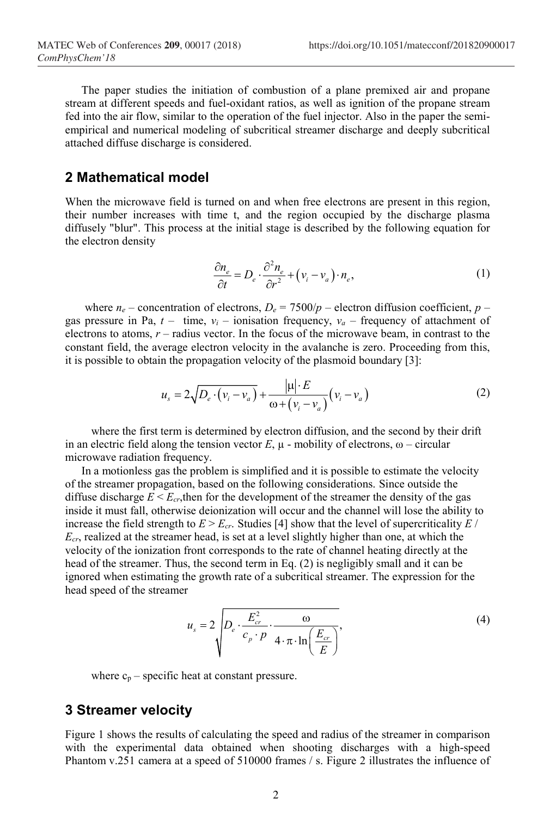The paper studies the initiation of combustion of a plane premixed air and propane stream at different speeds and fuel-oxidant ratios, as well as ignition of the propane stream fed into the air flow, similar to the operation of the fuel injector. Also in the paper the semiempirical and numerical modeling of subcritical streamer discharge and deeply subcritical attached diffuse discharge is considered. https://doi.org/10.1051/matecconf/201820900017<br>
on of a plane premixed air and propane<br>
as well as ignition of the propane stream<br>
fuel injector. Also in the paper the semi-<br>
streamer discharge and deeply subcritical<br>
1<br>

#### 2 Mathematical model

When the microwave field is turned on and when free electrons are present in this region, their number increases with time t, and the region occupied by the discharge plasma diffusely "blur". This process at the initial stage is described by the following equation for the electron density

$$
\frac{\partial n_e}{\partial t} = D_e \cdot \frac{\partial^2 n_e}{\partial r^2} + \left(v_i - v_a\right) \cdot n_e,\tag{1}
$$

where  $n_e$  – concentration of electrons,  $D_e = 7500/p$  – electron diffusion coefficient, p gas pressure in Pa,  $t -$  time,  $v_i -$  ionisation frequency,  $v_a$  – frequency of attachment of electrons to atoms,  $r$  – radius vector. In the focus of the microwave beam, in contrast to the constant field, the average electron velocity in the avalanche is zero. Proceeding from this, it is possible to obtain the propagation velocity of the plasmoid boundary [3]: the mutation of combination of a phane premixed are then the measurem and propane stream and propane stream and propane stream<br>
decls and fuel-oxidant ratios, as well as ignition of the propane stream<br>
imilar to the opera

$$
u_s = 2\sqrt{D_e \cdot (v_i - v_a)} + \frac{|\mu| \cdot E}{\omega + (v_i - v_a)} (v_i - v_a)
$$
 (2)

where the first term is determined by electron diffusion, and the second by their drift in an electric field along the tension vector  $E$ ,  $\mu$  - mobility of electrons,  $\omega$  – circular microwave radiation frequency.

In a motionless gas the problem is simplified and it is possible to estimate the velocity of the streamer propagation, based on the following considerations. Since outside the diffuse discharge  $E \le E_{cr}$ , then for the development of the streamer the density of the gas inside it must fall, otherwise deionization will occur and the channel will lose the ability to increase the field strength to  $E > E_{cr}$ . Studies [4] show that the level of supercriticality E /  $E_{cr}$ , realized at the streamer head, is set at a level slightly higher than one, at which the velocity of the ionization front corresponds to the rate of channel heating directly at the head of the streamer. Thus, the second term in Eq. (2) is negligibly small and it can be ignored when estimating the growth rate of a subcritical streamer. The expression for the head speed of the streamer

$$
u_s = 2 \sqrt{D_e \cdot \frac{E_{cr}^2}{c_p \cdot p} \cdot \frac{\omega}{4 \cdot \pi \cdot \ln\left(\frac{E_{cr}}{E}\right)}},
$$
\n(4)

where  $c_p$  – specific heat at constant pressure.

## 3 Streamer velocity

Figure 1 shows the results of calculating the speed and radius of the streamer in comparison with the experimental data obtained when shooting discharges with a high-speed Phantom v.251 camera at a speed of 510000 frames / s. Figure 2 illustrates the influence of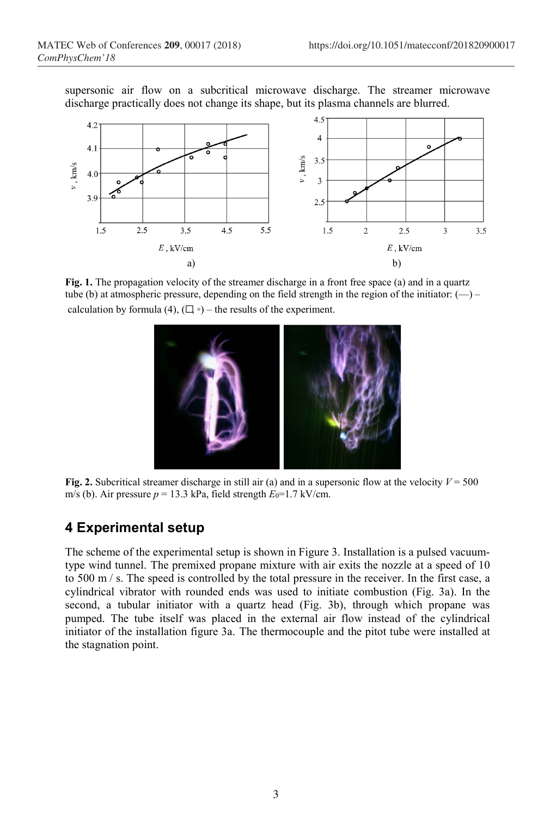supersonic air flow on a subcritical microwave discharge. The streamer microwave discharge practically does not change its shape, but its plasma channels are blurred.



Fig. 1. The propagation velocity of the streamer discharge in a front free space (a) and in a quartz tube (b) at atmospheric pressure, depending on the field strength in the region of the initiator:  $(-)$  – calculation by formula (4),  $(\square \circ)$  – the results of the experiment.



Fig. 2. Subcritical streamer discharge in still air (a) and in a supersonic flow at the velocity  $V = 500$ m/s (b). Air pressure  $p = 13.3$  kPa, field strength  $E_0 = 1.7$  kV/cm.

# 4 Experimental setup

The scheme of the experimental setup is shown in Figure 3. Installation is a pulsed vacuumtype wind tunnel. The premixed propane mixture with air exits the nozzle at a speed of 10 to 500 m / s. The speed is controlled by the total pressure in the receiver. In the first case, a cylindrical vibrator with rounded ends was used to initiate combustion (Fig. 3a). In the second, a tubular initiator with a quartz head (Fig. 3b), through which propane was pumped. The tube itself was placed in the external air flow instead of the cylindrical initiator of the installation figure 3a. The thermocouple and the pitot tube were installed at the stagnation point.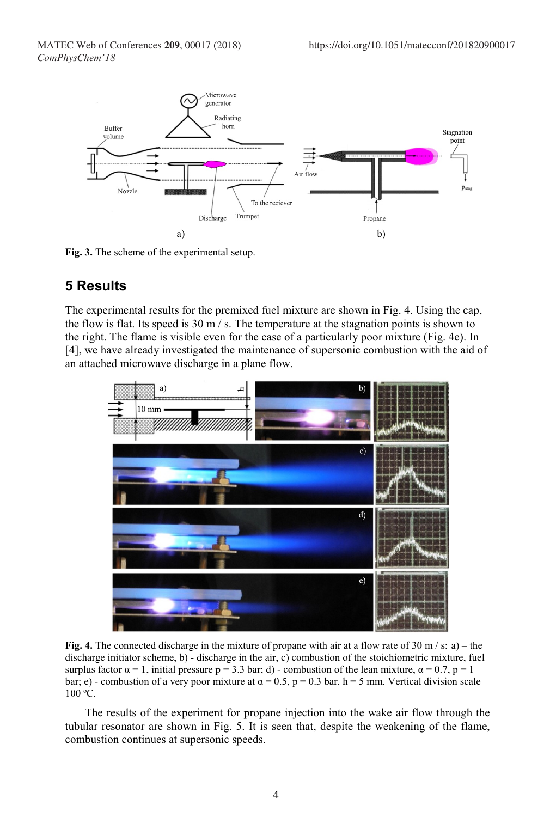

Fig. 3. The scheme of the experimental setup.

## 5 Results

The experimental results for the premixed fuel mixture are shown in Fig. 4. Using the cap, the flow is flat. Its speed is  $30 \text{ m/s}$ . The temperature at the stagnation points is shown to the right. The flame is visible even for the case of a particularly poor mixture (Fig. 4e). In [4], we have already investigated the maintenance of supersonic combustion with the aid of an attached microwave discharge in a plane flow.



Fig. 4. The connected discharge in the mixture of propane with air at a flow rate of 30 m/s: a) – the discharge initiator scheme, b) - discharge in the air, c) combustion of the stoichiometric mixture, fuel surplus factor  $\alpha = 1$ , initial pressure  $p = 3.3$  bar; d) - combustion of the lean mixture,  $\alpha = 0.7$ ,  $p = 1$ bar; e) - combustion of a very poor mixture at  $\alpha = 0.5$ , p = 0.3 bar. h = 5 mm. Vertical division scale – 100 ºС.

 The results of the experiment for propane injection into the wake air flow through the tubular resonator are shown in Fig. 5. It is seen that, despite the weakening of the flame, combustion continues at supersonic speeds.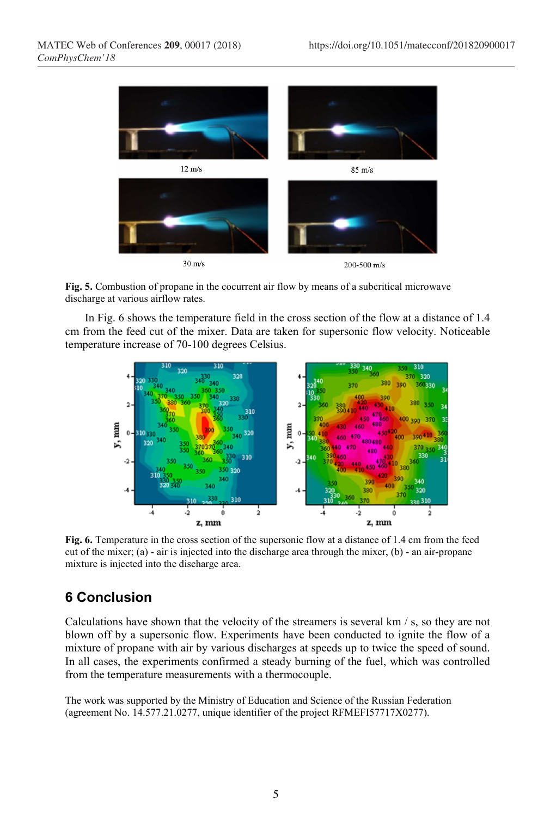

Fig. 5. Combustion of propane in the cocurrent air flow by means of a subcritical microwave discharge at various airflow rates.

 In Fig. 6 shows the temperature field in the cross section of the flow at a distance of 1.4 cm from the feed cut of the mixer. Data are taken for supersonic flow velocity. Noticeable temperature increase of 70-100 degrees Celsius.



Fig. 6. Temperature in the cross section of the supersonic flow at a distance of 1.4 cm from the feed cut of the mixer; (a) - air is injected into the discharge area through the mixer, (b) - an air-propane mixture is injected into the discharge area.

# 6 Conclusion

Calculations have shown that the velocity of the streamers is several km / s, so they are not blown off by a supersonic flow. Experiments have been conducted to ignite the flow of a mixture of propane with air by various discharges at speeds up to twice the speed of sound. In all cases, the experiments confirmed a steady burning of the fuel, which was controlled from the temperature measurements with a thermocouple.

The work was supported by the Ministry of Education and Science of the Russian Federation (agreement No. 14.577.21.0277, unique identifier of the project RFMEFI57717X0277).